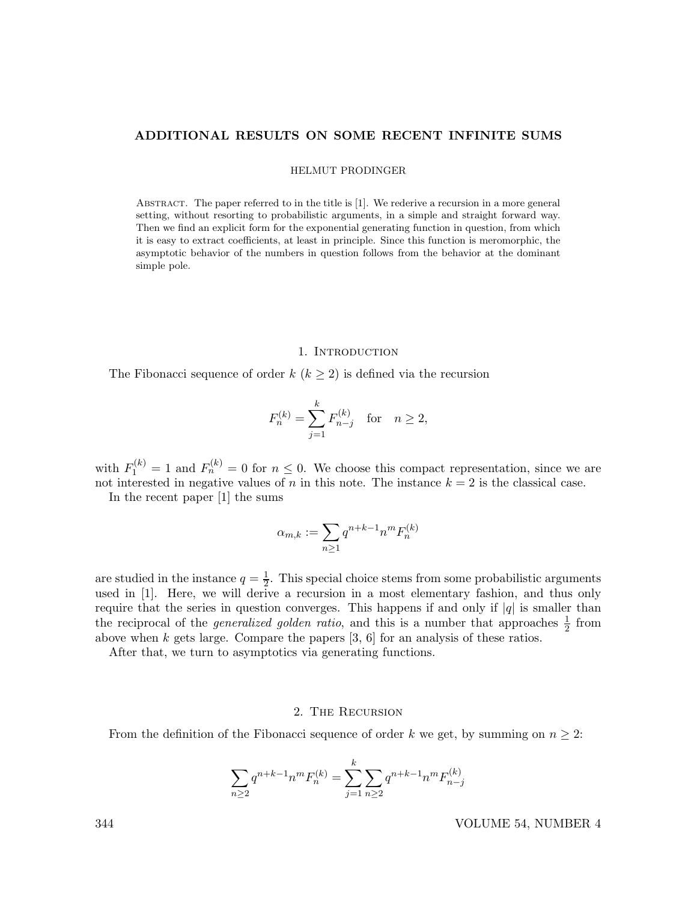## ADDITIONAL RESULTS ON SOME RECENT INFINITE SUMS

HELMUT PRODINGER

ABSTRACT. The paper referred to in the title is [1]. We rederive a recursion in a more general setting, without resorting to probabilistic arguments, in a simple and straight forward way. Then we find an explicit form for the exponential generating function in question, from which it is easy to extract coefficients, at least in principle. Since this function is meromorphic, the asymptotic behavior of the numbers in question follows from the behavior at the dominant simple pole.

### 1. INTRODUCTION

The Fibonacci sequence of order  $k$  ( $k \geq 2$ ) is defined via the recursion

$$
F_n^{(k)} = \sum_{j=1}^k F_{n-j}^{(k)} \quad \text{for} \quad n \ge 2,
$$

with  $F_1^{(k)} = 1$  and  $F_n^{(k)} = 0$  for  $n \leq 0$ . We choose this compact representation, since we are not interested in negative values of n in this note. The instance  $k = 2$  is the classical case.

In the recent paper [1] the sums

$$
\alpha_{m,k} := \sum_{n\geq 1} q^{n+k-1} n^m F_n^{(k)}
$$

are studied in the instance  $q=\frac{1}{2}$  $\frac{1}{2}$ . This special choice stems from some probabilistic arguments used in [1]. Here, we will derive a recursion in a most elementary fashion, and thus only require that the series in question converges. This happens if and only if  $|q|$  is smaller than the reciprocal of the *generalized golden ratio*, and this is a number that approaches  $\frac{1}{2}$  from above when k gets large. Compare the papers [3, 6] for an analysis of these ratios.

After that, we turn to asymptotics via generating functions.

### 2. The Recursion

From the definition of the Fibonacci sequence of order k we get, by summing on  $n \geq 2$ :

$$
\sum_{n\geq 2} q^{n+k-1} n^m F_n^{(k)} = \sum_{j=1}^k \sum_{n\geq 2} q^{n+k-1} n^m F_{n-j}^{(k)}
$$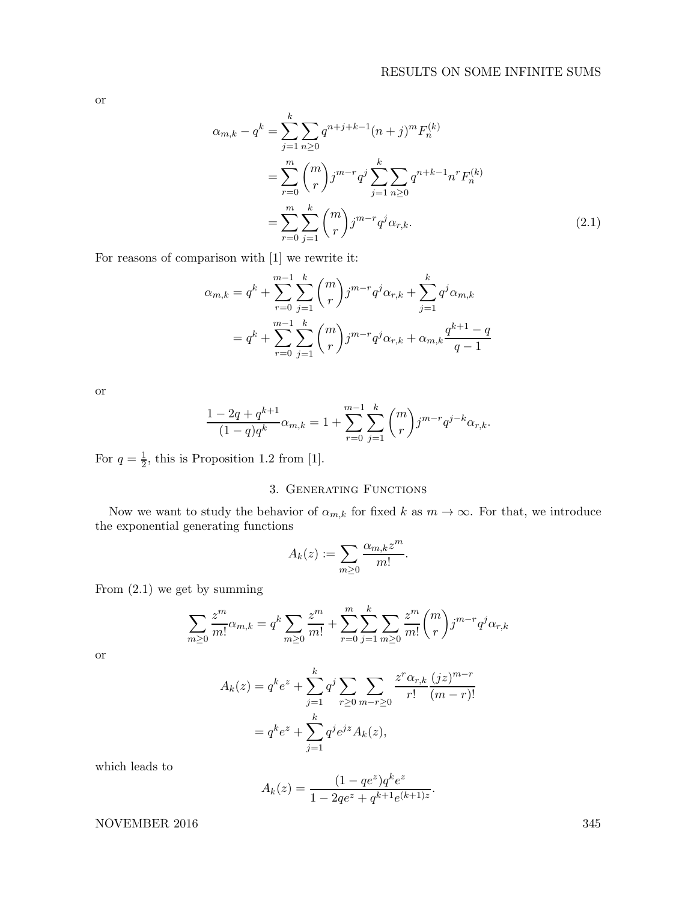or

$$
\alpha_{m,k} - q^k = \sum_{j=1}^k \sum_{n\geq 0} q^{n+j+k-1} (n+j)^m F_n^{(k)}
$$
  
= 
$$
\sum_{r=0}^m \binom{m}{r} j^{m-r} q^j \sum_{j=1}^k \sum_{n\geq 0} q^{n+k-1} n^r F_n^{(k)}
$$
  
= 
$$
\sum_{r=0}^m \sum_{j=1}^k \binom{m}{r} j^{m-r} q^j \alpha_{r,k}.
$$
 (2.1)

For reasons of comparison with [1] we rewrite it:

$$
\alpha_{m,k} = q^k + \sum_{r=0}^{m-1} \sum_{j=1}^k {m \choose r} j^{m-r} q^j \alpha_{r,k} + \sum_{j=1}^k q^j \alpha_{m,k}
$$
  
=  $q^k + \sum_{r=0}^{m-1} \sum_{j=1}^k {m \choose r} j^{m-r} q^j \alpha_{r,k} + \alpha_{m,k} \frac{q^{k+1} - q}{q - 1}$ 

or

$$
\frac{1 - 2q + q^{k+1}}{(1-q)q^k} \alpha_{m,k} = 1 + \sum_{r=0}^{m-1} \sum_{j=1}^k \binom{m}{r} j^{m-r} q^{j-k} \alpha_{r,k}.
$$

For  $q = \frac{1}{2}$ , this is Proposition 1.2 from [1].

# 3. Generating Functions

Now we want to study the behavior of  $\alpha_{m,k}$  for fixed k as  $m \to \infty$ . For that, we introduce the exponential generating functions

$$
A_k(z) := \sum_{m \geq 0} \frac{\alpha_{m,k} z^m}{m!}.
$$

From (2.1) we get by summing

$$
\sum_{m\geq 0} \frac{z^m}{m!} \alpha_{m,k} = q^k \sum_{m\geq 0} \frac{z^m}{m!} + \sum_{r=0}^m \sum_{j=1}^k \sum_{m\geq 0} \frac{z^m}{m!} {m \choose r} j^{m-r} q^j \alpha_{r,k}
$$

or

$$
A_k(z) = q^k e^z + \sum_{j=1}^k q^j \sum_{r \ge 0} \sum_{m-r \ge 0} \frac{z^r \alpha_{r,k}}{r!} \frac{(jz)^{m-r}}{(m-r)!}
$$
  
=  $q^k e^z + \sum_{j=1}^k q^j e^{jz} A_k(z)$ ,

which leads to

$$
A_k(z) = \frac{(1 - q e^z) q^k e^z}{1 - 2q e^z + q^{k+1} e^{(k+1)z}}.
$$

NOVEMBER 2016 345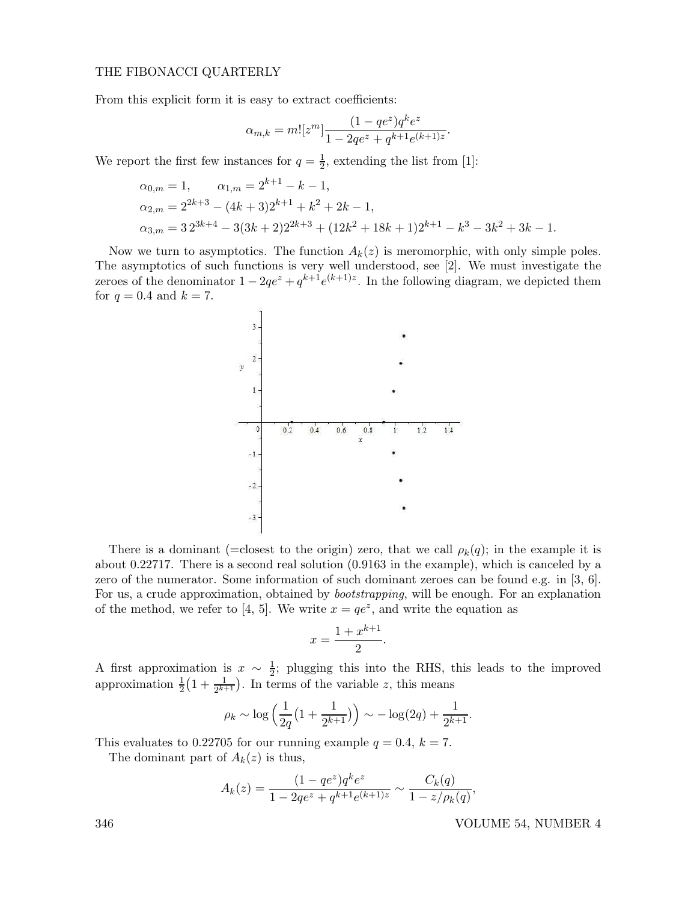## THE FIBONACCI QUARTERLY

From this explicit form it is easy to extract coefficients:

$$
\alpha_{m,k} = m! [z^m] \frac{(1 - q e^z) q^k e^z}{1 - 2q e^z + q^{k+1} e^{(k+1)z}}.
$$

We report the first few instances for  $q = \frac{1}{2}$ , extending the list from [1]:

$$
\alpha_{0,m} = 1, \qquad \alpha_{1,m} = 2^{k+1} - k - 1,
$$
  
\n
$$
\alpha_{2,m} = 2^{2k+3} - (4k+3)2^{k+1} + k^2 + 2k - 1,
$$
  
\n
$$
\alpha_{3,m} = 32^{3k+4} - 3(3k+2)2^{2k+3} + (12k^2 + 18k+1)2^{k+1} - k^3 - 3k^2 + 3k - 1.
$$

Now we turn to asymptotics. The function  $A_k(z)$  is meromorphic, with only simple poles. The asymptotics of such functions is very well understood, see [2]. We must investigate the zeroes of the denominator  $1 - 2qe^z + q^{k+1}e^{(k+1)z}$ . In the following diagram, we depicted them for  $q = 0.4$  and  $k = 7$ .



There is a dominant (=closest to the origin) zero, that we call  $\rho_k(q)$ ; in the example it is about 0.22717. There is a second real solution (0.9163 in the example), which is canceled by a zero of the numerator. Some information of such dominant zeroes can be found e.g. in [3, 6]. For us, a crude approximation, obtained by bootstrapping, will be enough. For an explanation of the method, we refer to [4, 5]. We write  $x = qe^z$ , and write the equation as

$$
x = \frac{1 + x^{k+1}}{2}.
$$

A first approximation is  $x \sim \frac{1}{2}$ ; plugging this into the RHS, this leads to the improved approximation  $\frac{1}{2}(1+\frac{1}{2^{k+1}})$ . In terms of the variable z, this means

$$
\rho_k \sim \log \left( \frac{1}{2q} \left( 1 + \frac{1}{2^{k+1}} \right) \right) \sim -\log(2q) + \frac{1}{2^{k+1}}.
$$

This evaluates to 0.22705 for our running example  $q = 0.4$ ,  $k = 7$ .

The dominant part of  $A_k(z)$  is thus,

$$
A_k(z) = \frac{(1 - qe^z)q^k e^z}{1 - 2qe^z + q^{k+1}e^{(k+1)z}} \sim \frac{C_k(q)}{1 - z/\rho_k(q)}
$$

346 VOLUME 54, NUMBER 4

,